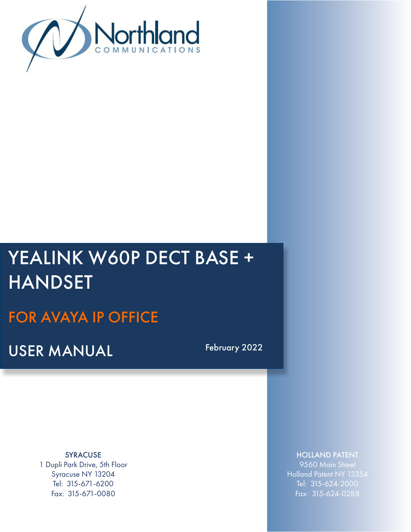

# YEALINK W60P DECT BASE + HANDSET

# FOR AVAYA IP OFFICE

USER MANUAL February 2022

SYRACUSE 1 Dupli Park Drive, 5th Floor Syracuse NY 13204 Tel: 315-671-6200 Fax: 315-671-0080

## HOLLAND PATENT

9560 Main Street Holland Patent NY 13354 Tel: 315-624-2000 Fax: 315-624-0288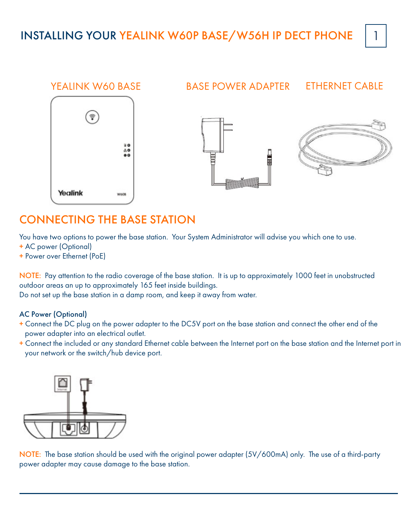

## CONNECTING THE BASE STATION

You have two options to power the base station. Your System Administrator will advise you which one to use.

- + AC power (Optional)
- + Power over Ethernet (PoE)

NOTE: Pay attention to the radio coverage of the base station. It is up to approximately 1000 feet in unobstructed outdoor areas an up to approximately 165 feet inside buildings.

Do not set up the base station in a damp room, and keep it away from water.

## AC Power (Optional)

- + Connect the DC plug on the power adapter to the DC5V port on the base station and connect the other end of the power adapter into an electrical outlet.
- + Connect the included or any standard Ethernet cable between the Internet port on the base station and the Internet port in your network or the switch/hub device port.



NOTE: The base station should be used with the original power adapter (5V/600mA) only. The use of a third-party power adapter may cause damage to the base station.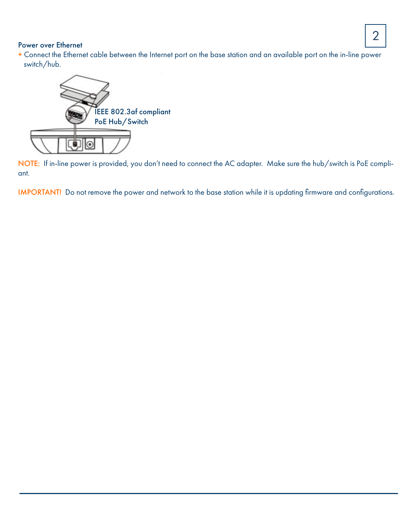#### Power over Ethernet

+ Connect the Ethernet cable between the Internet port on the base station and an available port on the in-line power switch/hub.



NOTE: If in-line power is provided, you don't need to connect the AC adapter. Make sure the hub/switch is PoE compliant.

IMPORTANT! Do not remove the power and network to the base station while it is updating firmware and configurations.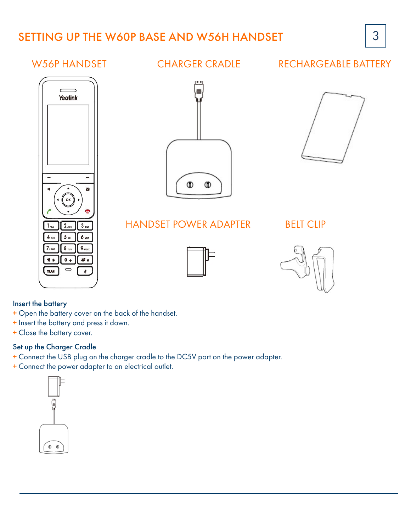## SETTING UP THE W60P BASE AND W56H HANDSET 3

## RECHARGEABLE BATTERY



## W56P HANDSFT CHARGER CRADIF





## HANDSET POWER ADAPTER

BELT CLIP





#### Insert the battery

- + Open the battery cover on the back of the handset.
- + Insert the battery and press it down.
- + Close the battery cover.

#### Set up the Charger Cradle

- + Connect the USB plug on the charger cradle to the DC5V port on the power adapter.
- + Connect the power adapter to an electrical outlet.



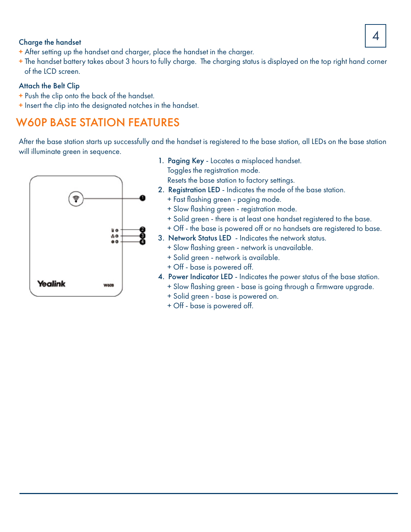# $\begin{array}{|c|c|c|}\hline \text{Change the handset} & A \ \hline \end{array}$

- + After setting up the handset and charger, place the handset in the charger.
- + The handset battery takes about 3 hours to fully charge. The charging status is displayed on the top right hand corner of the LCD screen.

## Attach the Belt Clip

- + Push the clip onto the back of the handset.
- + Insert the clip into the designated notches in the handset.

## W60P BASE STATION FEATURES

After the base station starts up successfully and the handset is registered to the base station, all LEDs on the base station will illuminate green in sequence.



1. Paging Key - Locates a misplaced handset. Toggles the registration mode.

Resets the base station to factory settings.

- 2. Registration LED Indicates the mode of the base station.
	- + Fast flashing green paging mode.
	- + Slow flashing green registration mode.
	- + Solid green there is at least one handset registered to the base.
	- + Off the base is powered off or no handsets are registered to base.
- 3. Network Status LED Indicates the network status.
	- + Slow flashing green network is unavailable.
	- + Solid green network is available.
	- + Off base is powered off.
- 4. Power Indicator LED Indicates the power status of the base station. + Slow flashing green - base is going through a firmware upgrade.
	- + Solid green base is powered on.
	- + Off base is powered off.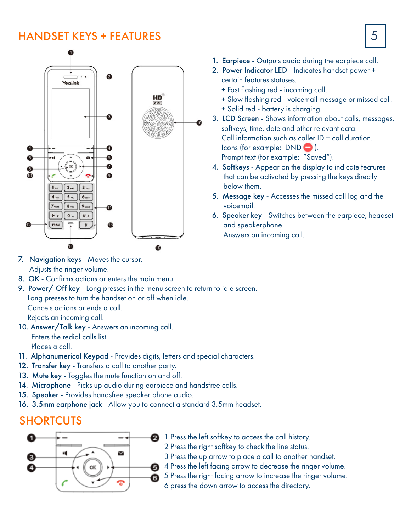## HANDSET KEYS + FEATURES  $\vert 5 \vert$



- 1. Earpiece Outputs audio during the earpiece call.
- 2. Power Indicator LED Indicates handset power + certain features statuses.
	- + Fast flashing red incoming call.
	- + Slow flashing red voicemail message or missed call.
	- + Solid red battery is charging.
- 3. LCD Screen Shows information about calls, messages, softkeys, time, date and other relevant data. Call information such as caller ID + call duration. Icons (for example: DND ). Prompt text (for example: "Saved").
- 4. Softkeys Appear on the display to indicate features that can be activated by pressing the keys directly below them.
- 5. Message key Accesses the missed call log and the voicemail.
- 6. Speaker key Switches between the earpiece, headset and speakerphone. Answers an incoming call.

- 7. Navigation keys Moves the cursor. Adjusts the ringer volume.
- 8. OK Confirms actions or enters the main menu.
- 9. Power/ Off key Long presses in the menu screen to return to idle screen. Long presses to turn the handset on or off when idle. Cancels actions or ends a call. Rejects an incoming call. 10. Answer/Talk key - Answers an incoming call.

 Enters the redial calls list. Places a call.

- 11. Alphanumerical Keypad Provides digits, letters and special characters.
- 12. Transfer key Transfers a call to another party.
- 13. Mute key Toggles the mute function on and off.
- 14. Microphone Picks up audio during earpiece and handsfree calls.
- 15. Speaker Provides handsfree speaker phone audio.
- 16. 3.5mm earphone jack Allow you to connect a standard 3.5mm headset.

## SHORTCUTS



- 2 1 Press the left softkey to access the call history.
	- 2 Press the right softkey to check the line status.
	- 3 Press the up arrow to place a call to another handset.
- 4 Press the left facing arrow to decrease the ringer volume.
- 5 Press the right facing arrow to increase the ringer volume.
	- 6 press the down arrow to access the directory.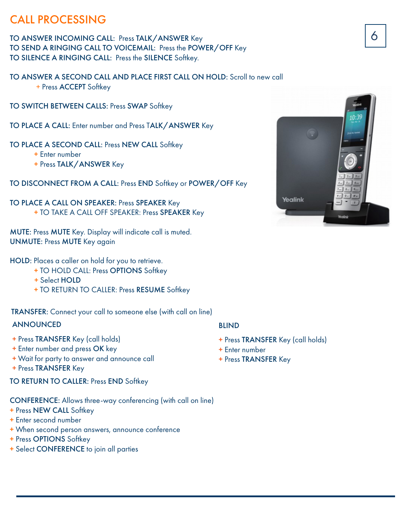## CALL PROCESSING

TO ANSWER INCOMING CALL: Press TALK/ANSWER Key **6 and 20 and 3** 6 **6** TO SEND A RINGING CALL TO VOICEMAIL: Press the POWER/OFF Key TO SILENCE A RINGING CALL: Press the SILENCE Softkey.

TO ANSWER A SECOND CALL AND PLACE FIRST CALL ON HOLD: Scroll to new call + Press ACCEPT Softkey

TO SWITCH BETWEEN CALLS: Press SWAP Softkey

TO PLACE A CALL: Enter number and Press TALK/ANSWER Key

TO PLACE A SECOND CALL: Press NEW CALL Softkey

+ Enter number

+ Press TALK/ANSWER Key

TO DISCONNECT FROM A CALL: Press END Softkey or POWER/OFF Key

#### TO PLACE A CALL ON SPEAKER: Press SPEAKER Key + TO TAKE A CALL OFF SPEAKER: Press SPEAKER Key

MUTE: Press MUTE Key. Display will indicate call is muted. UNMUTE: Press MUTE Key again

#### HOLD: Places a caller on hold for you to retrieve.

- + TO HOLD CALL: Press OPTIONS Softkey
- + Select HOLD
- + TO RETURN TO CALLER: Press RESUME Softkey

TRANSFER: Connect your call to someone else (with call on line)

## ANNOUNCED

- + Press TRANSFER Key (call holds)
- + Enter number and press OK key
- + Wait for party to answer and announce call
- + Press TRANSFER Key

## TO RETURN TO CALLER: Press END Softkey

CONFERENCE: Allows three-way conferencing (with call on line)

- + Press NEW CALL Softkey
- + Enter second number
- + When second person answers, announce conference
- + Press OPTIONS Softkey
- + Select CONFERENCE to join all parties

## BLIND

- + Press TRANSFER Key (call holds)
- + Enter number
- + Press TRANSFER Key

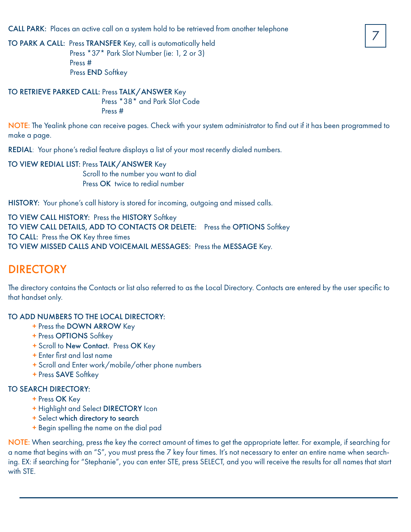CALL PARK: Places an active call on a system hold to be retrieved from another telephone

TO PARK A CALL: Press TRANSFER Key, call is automatically held Press \*37\* Park Slot Number (ie: 1, 2 or 3) Press # Press END Softkey

## TO RETRIEVE PARKED CALL: Press TALK/ANSWER Key

 Press \*38\* and Park Slot Code Press #

NOTE: The Yealink phone can receive pages. Check with your system administrator to find out if it has been programmed to make a page.

REDIAL: Your phone's redial feature displays a list of your most recently dialed numbers.

#### TO VIEW REDIAL LIST: Press TALK/ANSWER Key Scroll to the number you want to dial

Press OK twice to redial number

HISTORY: Your phone's call history is stored for incoming, outgoing and missed calls.

TO VIEW CALL HISTORY: Press the HISTORY Softkey TO VIEW CALL DETAILS, ADD TO CONTACTS OR DELETE: Press the OPTIONS Softkey TO CALL: Press the OK Key three times TO VIEW MISSED CALLS AND VOICEMAIL MESSAGES: Press the MESSAGE Key.

## DIRECTORY

The directory contains the Contacts or list also referred to as the Local Directory. Contacts are entered by the user specific to that handset only.

## TO ADD NUMBERS TO THE LOCAL DIRECTORY:

- + Press the DOWN ARROW Key
- + Press OPTIONS Softkey
- + Scroll to New Contact. Press OK Key
- + Enter first and last name
- + Scroll and Enter work/mobile/other phone numbers
- + Press SAVE Softkey

## TO SEARCH DIRECTORY:

- + Press OK Key
- + Highlight and Select DIRECTORY Icon
- + Select which directory to search
- + Begin spelling the name on the dial pad

NOTE: When searching, press the key the correct amount of times to get the appropriate letter. For example, if searching for a name that begins with an "S", you must press the 7 key four times. It's not necessary to enter an entire name when searching. EX: if searching for "Stephanie", you can enter STE, press SELECT, and you will receive the results for all names that start with STE.